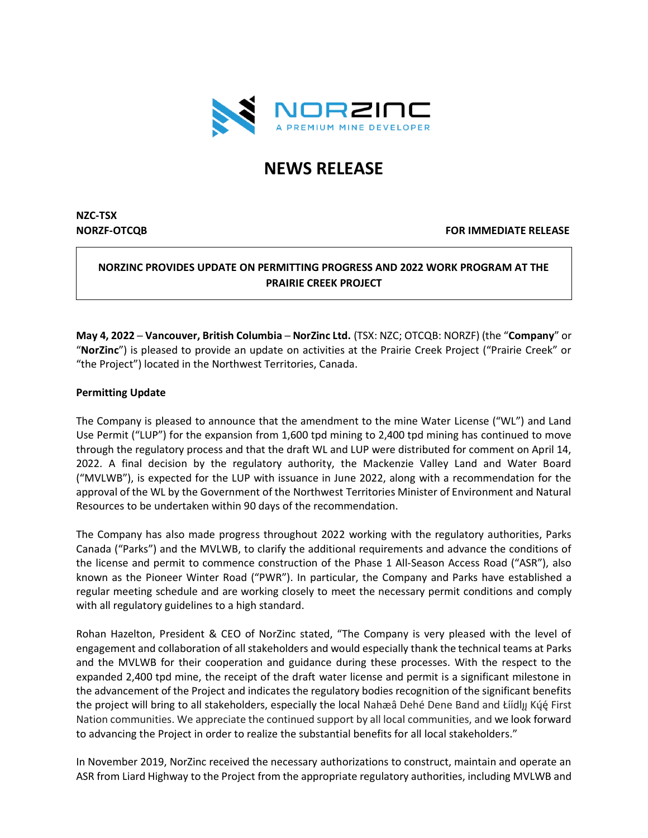

# **NEWS RELEASE**

# **NZC-TSX**

**NORZF-OTCQB FOR IMMEDIATE RELEASE**

# **NORZINC PROVIDES UPDATE ON PERMITTING PROGRESS AND 2022 WORK PROGRAM AT THE PRAIRIE CREEK PROJECT**

**May 4, 2022 ─ Vancouver, British Columbia ─ NorZinc Ltd.** (TSX: NZC; OTCQB: NORZF) (the "**Company**" or "**NorZinc**") is pleased to provide an update on activities at the Prairie Creek Project ("Prairie Creek" or "the Project") located in the Northwest Territories, Canada.

## **Permitting Update**

The Company is pleased to announce that the amendment to the mine Water License ("WL") and Land Use Permit ("LUP") for the expansion from 1,600 tpd mining to 2,400 tpd mining has continued to move through the regulatory process and that the draft WL and LUP were distributed for comment on April 14, 2022. A final decision by the regulatory authority, the Mackenzie Valley Land and Water Board ("MVLWB"), is expected for the LUP with issuance in June 2022, along with a recommendation for the approval of the WL by the Government of the Northwest Territories Minister of Environment and Natural Resources to be undertaken within 90 days of the recommendation.

The Company has also made progress throughout 2022 working with the regulatory authorities, Parks Canada ("Parks") and the MVLWB, to clarify the additional requirements and advance the conditions of the license and permit to commence construction of the Phase 1 All-Season Access Road ("ASR"), also known as the Pioneer Winter Road ("PWR"). In particular, the Company and Parks have established a regular meeting schedule and are working closely to meet the necessary permit conditions and comply with all regulatory guidelines to a high standard.

Rohan Hazelton, President & CEO of NorZinc stated, "The Company is very pleased with the level of engagement and collaboration of all stakeholders and would especially thank the technical teams at Parks and the MVLWB for their cooperation and guidance during these processes. With the respect to the expanded 2,400 tpd mine, the receipt of the draft water license and permit is a significant milestone in the advancement of the Project and indicates the regulatory bodies recognition of the significant benefits the project will bring to all stakeholders, especially the local Nahæâ Dehé Dene Band and Łiídly Kų́ę́ First Nation communities. We appreciate the continued support by all local communities, and we look forward to advancing the Project in order to realize the substantial benefits for all local stakeholders."

In November 2019, NorZinc received the necessary authorizations to construct, maintain and operate an ASR from Liard Highway to the Project from the appropriate regulatory authorities, including MVLWB and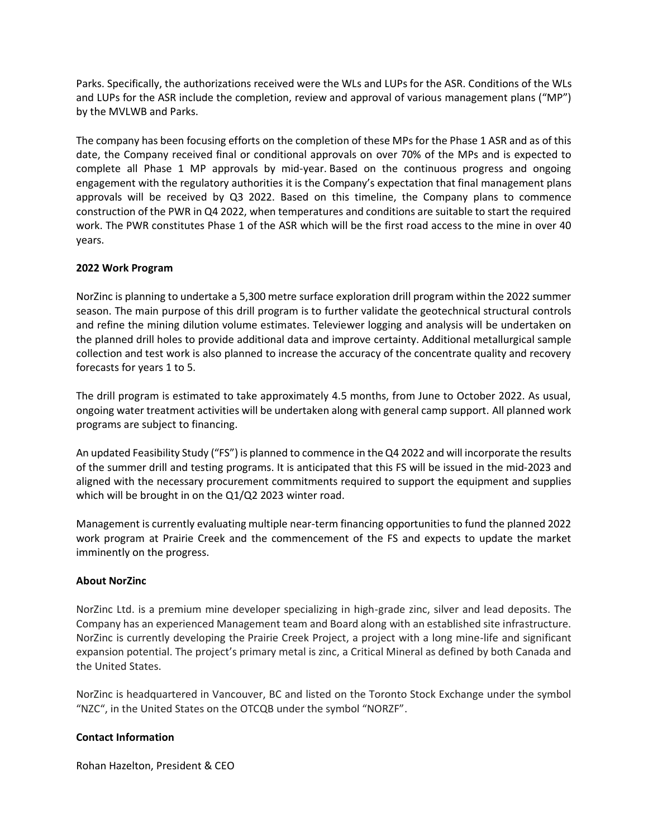Parks. Specifically, the authorizations received were the WLs and LUPs for the ASR. Conditions of the WLs and LUPs for the ASR include the completion, review and approval of various management plans ("MP") by the MVLWB and Parks.

The company has been focusing efforts on the completion of these MPs for the Phase 1 ASR and as of this date, the Company received final or conditional approvals on over 70% of the MPs and is expected to complete all Phase 1 MP approvals by mid-year. Based on the continuous progress and ongoing engagement with the regulatory authorities it is the Company's expectation that final management plans approvals will be received by Q3 2022. Based on this timeline, the Company plans to commence construction of the PWR in Q4 2022, when temperatures and conditions are suitable to start the required work. The PWR constitutes Phase 1 of the ASR which will be the first road access to the mine in over 40 years.

# **2022 Work Program**

NorZinc is planning to undertake a 5,300 metre surface exploration drill program within the 2022 summer season. The main purpose of this drill program is to further validate the geotechnical structural controls and refine the mining dilution volume estimates. Televiewer logging and analysis will be undertaken on the planned drill holes to provide additional data and improve certainty. Additional metallurgical sample collection and test work is also planned to increase the accuracy of the concentrate quality and recovery forecasts for years 1 to 5.

The drill program is estimated to take approximately 4.5 months, from June to October 2022. As usual, ongoing water treatment activities will be undertaken along with general camp support. All planned work programs are subject to financing.

An updated Feasibility Study ("FS") is planned to commence in the Q4 2022 and will incorporate the results of the summer drill and testing programs. It is anticipated that this FS will be issued in the mid-2023 and aligned with the necessary procurement commitments required to support the equipment and supplies which will be brought in on the Q1/Q2 2023 winter road.

Management is currently evaluating multiple near-term financing opportunities to fund the planned 2022 work program at Prairie Creek and the commencement of the FS and expects to update the market imminently on the progress.

## **About NorZinc**

NorZinc Ltd. is a premium mine developer specializing in high-grade zinc, silver and lead deposits. The Company has an experienced Management team and Board along with an established site infrastructure. NorZinc is currently developing the Prairie Creek Project, a project with a long mine-life and significant expansion potential. The project's primary metal is zinc, a Critical Mineral as defined by both Canada and the United States.

NorZinc is headquartered in Vancouver, BC and listed on the Toronto Stock Exchange under the symbol "NZC", in the United States on the OTCQB under the symbol "NORZF".

## **Contact Information**

Rohan Hazelton, President & CEO